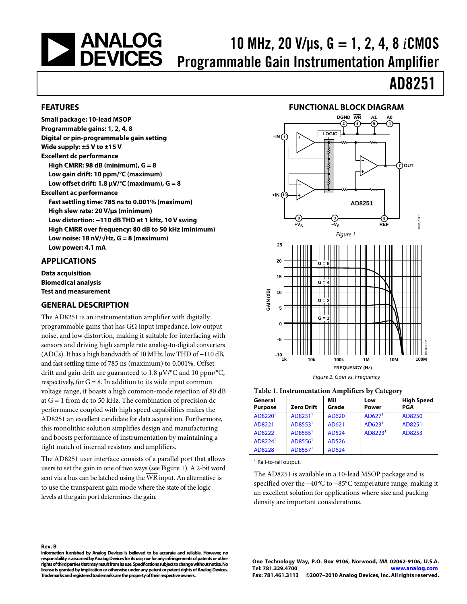# <span id="page-0-1"></span>| ANALOG<br>| DEVICES

### 10 MHz, 20 V/μs, G = 1, 2, 4, 8 *i*CMOS Programmable Gain Instrumentation Amplifier

## AD8251

#### **FEATURES**

**Small package: 10-lead MSOP Programmable gains: 1, 2, 4, 8 Digital or pin-programmable gain setting Wide supply: ±5 V to ±15 V Excellent dc performance High CMRR: 98 dB (minimum), G = 8 Low gain drift: 10 ppm/°C (maximum) Low offset drift: 1.8 μV/°C (maximum), G = 8 Excellent ac performance Fast settling time: 785 ns to 0.001% (maximum) High slew rate: 20 V/μs (minimum) Low distortion: −110 dB THD at 1 kHz, 10 V swing High CMRR over frequency: 80 dB to 50 kHz (minimum) Low noise: 18 nV/√Hz, G = 8 (maximum) Low power: 4.1 mA** 

#### <span id="page-0-0"></span>**APPLICATIONS**

**Rev. B** 

**Data acquisition Biomedical analysis Test and measurement** 

#### **GENERAL DESCRIPTION**

The AD8251 is an instrumentation amplifier with digitally programmable gains that has  $G\Omega$  input impedance, low output noise, and low distortion, making it suitable for interfacing with sensors and driving high sample rate analog-to-digital converters (ADCs). It has a high bandwidth of 10 MHz, low THD of −110 dB, and fast settling time of 785 ns (maximum) to 0.001%. Offset drift and gain drift are guaranteed to 1.8 μV/°C and 10 ppm/°C, respectively, for  $G = 8$ . In addition to its wide input common voltage range, it boasts a high common-mode rejection of 80 dB at  $G = 1$  from dc to 50 kHz. The combination of precision dc performance coupled with high speed capabilities makes the AD8251 an excellent candidate for data acquisition. Furthermore, this monolithic solution simplifies design and manufacturing and boosts performance of instrumentation by maintaining a tight match of internal resistors and amplifiers.

The AD8251 user interface consists of a parallel port that allows users to set the gain in one of two ways (see [Figure 1](#page-0-0)). A 2-bit word sent via a bus can be latched using the WR input. An alternative is to use the transparent gain mode where the state of the logic levels at the gain port determines the gain.





#### **Table 1. Instrumentation Amplifiers by Category**

| General             |                     | Mil   | Low                 | <b>High Speed</b> |
|---------------------|---------------------|-------|---------------------|-------------------|
| <b>Purpose</b>      | <b>Zero Drift</b>   | Grade | Power               | PGA               |
| AD8220 <sup>1</sup> | AD8231 <sup>1</sup> | AD620 | AD627 <sup>1</sup>  | AD8250            |
| AD8221              | AD8553 <sup>1</sup> | AD621 | AD623 <sup>1</sup>  | AD8251            |
| AD8222              | AD8555 <sup>1</sup> | AD524 | AD8223 <sup>1</sup> | AD8253            |
| AD8224 <sup>1</sup> | AD8556 <sup>1</sup> | AD526 |                     |                   |
| AD8228              | AD8557 <sup>1</sup> | AD624 |                     |                   |

 $<sup>1</sup>$  Rail-to-rail output.</sup>

The AD8251 is available in a 10-lead MSOP package and is specified over the −40°C to +85°C temperature range, making it an excellent solution for applications where size and packing density are important considerations.

**Information furnished by Analog Devices is believed to be accurate and reliable. However, no responsibility is assumed by Analog Devices for its use, nor for any infringements of patents or other rights of third parties that may result from its use. Specifications subject to change without notice. No license is granted by implication or otherwise under any patent or patent rights of Analog Devices. Trademarks and registered trademarks are the property of their respective owners.**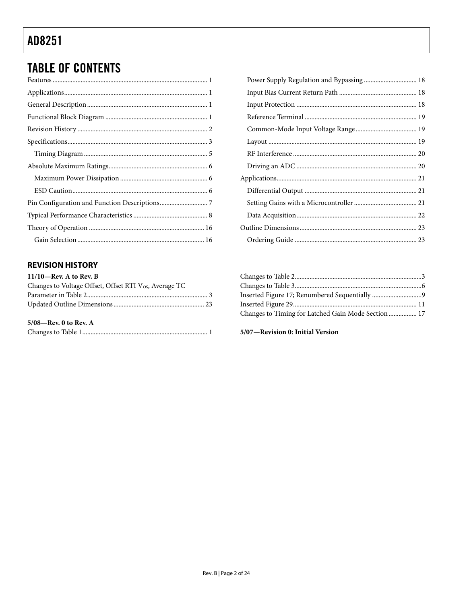### <span id="page-1-0"></span>**TABLE OF CONTENTS**

### **REVISION HISTORY**

| $11/10$ —Rev. A to Rev. B                                          |  |
|--------------------------------------------------------------------|--|
| Changes to Voltage Offset, Offset RTI V <sub>os</sub> , Average TC |  |
|                                                                    |  |
|                                                                    |  |
| $5/08$ —Rev. 0 to Rev. A                                           |  |
|                                                                    |  |

| Power Supply Regulation and Bypassing  18 |  |
|-------------------------------------------|--|
|                                           |  |
|                                           |  |
|                                           |  |
|                                           |  |
|                                           |  |
|                                           |  |
|                                           |  |
|                                           |  |
|                                           |  |
|                                           |  |
|                                           |  |
|                                           |  |
|                                           |  |
|                                           |  |

| Changes to Timing for Latched Gain Mode Section  17 |  |
|-----------------------------------------------------|--|

#### 5/07-Revision 0: Initial Version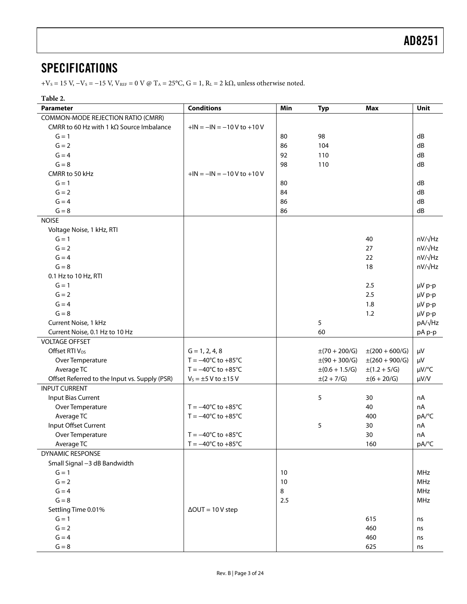### <span id="page-2-1"></span><span id="page-2-0"></span>**SPECIFICATIONS**

 $+V_S = 15$  V,  $-V_S = -15$  V,  $V_{REF} = 0$  V @ T<sub>A</sub> = 25°C, G = 1, R<sub>L</sub> = 2 k $\Omega$ , unless otherwise noted.

#### **Table 2.**

<span id="page-2-2"></span>

| <b>Parameter</b>                                        | <b>Conditions</b>                      | Min    | <b>Typ</b>               | <b>Max</b>                | Unit             |
|---------------------------------------------------------|----------------------------------------|--------|--------------------------|---------------------------|------------------|
| COMMON-MODE REJECTION RATIO (CMRR)                      |                                        |        |                          |                           |                  |
| CMRR to 60 Hz with 1 k $\Omega$ Source Imbalance        | $+IN = -IN = -10 V to +10 V$           |        |                          |                           |                  |
| $G = 1$                                                 |                                        | 80     | 98                       |                           | dB               |
| $G = 2$                                                 |                                        | 86     | 104                      |                           | dB               |
| $G = 4$                                                 |                                        | 92     | 110                      |                           | dB               |
| $G = 8$                                                 |                                        | 98     | 110                      |                           | dB               |
| CMRR to 50 kHz                                          | $+IN = -IN = -10 V to +10 V$           |        |                          |                           |                  |
| $G = 1$                                                 |                                        | 80     |                          |                           | dB               |
| $G = 2$                                                 |                                        | 84     |                          |                           | dB               |
| $G = 4$                                                 |                                        | 86     |                          |                           | dB               |
| $G = 8$                                                 |                                        | 86     |                          |                           | dB               |
| <b>NOISE</b>                                            |                                        |        |                          |                           |                  |
| Voltage Noise, 1 kHz, RTI                               |                                        |        |                          |                           |                  |
| $G = 1$                                                 |                                        |        |                          | 40                        | $nV/\sqrt{Hz}$   |
| $G = 2$                                                 |                                        |        |                          | 27                        | $nV/\sqrt{Hz}$   |
| $G = 4$                                                 |                                        |        |                          | 22                        | $nV/\sqrt{Hz}$   |
| $G = 8$                                                 |                                        |        |                          | 18                        | nV/√Hz           |
| 0.1 Hz to 10 Hz, RTI                                    |                                        |        |                          |                           |                  |
| $G = 1$                                                 |                                        |        |                          | 2.5                       | µV p-p           |
| $G = 2$                                                 |                                        |        |                          | 2.5                       | µV p-p           |
| $G = 4$                                                 |                                        |        |                          | 1.8                       | µV p-p           |
| $G = 8$                                                 |                                        |        |                          | 1.2                       |                  |
| Current Noise, 1 kHz                                    |                                        |        | 5                        |                           | µV p-p<br>pA/√Hz |
|                                                         |                                        |        | 60                       |                           |                  |
| Current Noise, 0.1 Hz to 10 Hz<br><b>VOLTAGE OFFSET</b> |                                        |        |                          |                           | pA p-p           |
|                                                         |                                        |        |                          |                           |                  |
| Offset RTI V <sub>os</sub>                              | $G = 1, 2, 4, 8$                       |        | $\pm(70 + 200/\text{G})$ | $\pm(200 + 600/\text{G})$ | $\mu V$          |
| Over Temperature                                        | $T = -40^{\circ}C$ to $+85^{\circ}C$   |        | $\pm(90 + 300/\text{G})$ | $\pm(260 + 900/\text{G})$ | μV               |
| Average TC                                              | $T = -40^{\circ}C$ to $+85^{\circ}C$   |        | $\pm (0.6 + 1.5/G)$      | $\pm(1.2 + 5/G)$          | $\mu V$ /°C      |
| Offset Referred to the Input vs. Supply (PSR)           | $V_s = \pm 5$ V to $\pm 15$ V          |        | $\pm (2 + 7/G)$          | $\pm (6 + 20/G)$          | $\mu V/V$        |
| <b>INPUT CURRENT</b>                                    |                                        |        |                          |                           |                  |
| <b>Input Bias Current</b>                               |                                        |        | 5                        | 30                        | nA               |
| Over Temperature                                        | $T = -40^{\circ}C$ to $+85^{\circ}C$   |        |                          | 40                        | nA               |
| Average TC                                              | $T = -40^{\circ}C$ to $+85^{\circ}C$   |        |                          | 400                       | pA/°C            |
| Input Offset Current                                    |                                        |        | 5                        | 30                        | nA               |
| Over Temperature                                        | $T = -40^{\circ}C$ to $+85^{\circ}C$   |        |                          | 30                        | nA               |
| Average TC                                              | $T = -40^{\circ}$ C to $+85^{\circ}$ C |        |                          | 160                       | pA/°C            |
| <b>DYNAMIC RESPONSE</b>                                 |                                        |        |                          |                           |                  |
| Small Signal -3 dB Bandwidth                            |                                        |        |                          |                           |                  |
| $G = 1$                                                 |                                        | 10     |                          |                           | MHz              |
| $G = 2$                                                 |                                        | $10\,$ |                          |                           | MHz              |
| $G = 4$                                                 |                                        | 8      |                          |                           | MHz              |
| $G = 8$                                                 |                                        | 2.5    |                          |                           | MHz              |
| Settling Time 0.01%                                     | $\Delta$ OUT = 10 V step               |        |                          |                           |                  |
| $G = 1$                                                 |                                        |        |                          | 615                       | ns               |
| $G = 2$                                                 |                                        |        |                          | 460                       | ns               |
| $G = 4$                                                 |                                        |        |                          | 460                       | ns               |
| $\mathsf{G}=\mathsf{8}$                                 |                                        |        |                          | 625                       | ns               |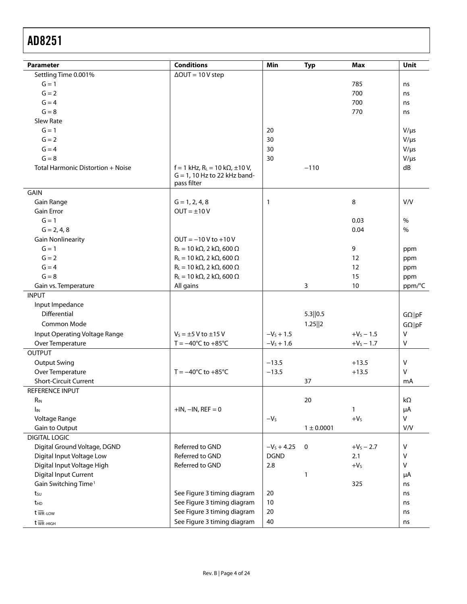| Parameter                         | <b>Conditions</b>                                                                             | Min          | <b>Typ</b>     | <b>Max</b>   | Unit           |
|-----------------------------------|-----------------------------------------------------------------------------------------------|--------------|----------------|--------------|----------------|
| Settling Time 0.001%              | $\Delta$ OUT = 10 V step                                                                      |              |                |              |                |
| $G = 1$                           |                                                                                               |              |                | 785          | ns             |
| $G = 2$                           |                                                                                               |              |                | 700          | ns             |
| $G = 4$                           |                                                                                               |              |                | 700          | ns             |
| $G = 8$                           |                                                                                               |              |                | 770          | ns             |
| Slew Rate                         |                                                                                               |              |                |              |                |
| $G = 1$                           |                                                                                               | 20           |                |              | $V/\mu s$      |
| $G = 2$                           |                                                                                               | 30           |                |              | $V/\mu s$      |
| $G = 4$                           |                                                                                               | 30           |                |              | $V/\mu s$      |
| $G = 8$                           |                                                                                               | 30           |                |              | $V/\mu s$      |
| Total Harmonic Distortion + Noise | $f = 1$ kHz, R <sub>L</sub> = 10 kΩ, ±10 V,<br>$G = 1$ , 10 Hz to 22 kHz band-<br>pass filter |              | $-110$         |              | dB             |
| GAIN                              |                                                                                               |              |                |              |                |
| Gain Range                        | $G = 1, 2, 4, 8$                                                                              | 1            |                | 8            | V/V            |
| <b>Gain Error</b>                 | $OUT = ±10V$                                                                                  |              |                |              |                |
| $G = 1$                           |                                                                                               |              |                | 0.03         | $\%$           |
| $G = 2, 4, 8$                     |                                                                                               |              |                | 0.04         | $\%$           |
| <b>Gain Nonlinearity</b>          | $OUT = -10V$ to $+10V$                                                                        |              |                |              |                |
| $G = 1$                           | $R_L = 10 k\Omega$ , 2 k $\Omega$ , 600 $\Omega$                                              |              |                | 9            | ppm            |
| $G = 2$                           | $R_L = 10 k\Omega$ , 2 k $\Omega$ , 600 $\Omega$                                              |              |                | 12           | ppm            |
| $G = 4$                           | $R_L = 10 \text{ k}\Omega$ , 2 k $\Omega$ , 600 $\Omega$                                      |              |                | 12           | ppm            |
| $G = 8$                           | $R_L = 10 k\Omega$ , 2 k $\Omega$ , 600 $\Omega$                                              |              |                | 15           | ppm            |
| Gain vs. Temperature              | All gains                                                                                     |              | 3              | 10           | ppm/°C         |
| <b>INPUT</b>                      |                                                                                               |              |                |              |                |
| Input Impedance                   |                                                                                               |              |                |              |                |
| Differential                      |                                                                                               |              | 5.3  0.5       |              | $G\Omega$   pF |
| Common Mode                       |                                                                                               |              | 1.25  2        |              | $G\Omega  pF$  |
| Input Operating Voltage Range     | $V_s = \pm 5$ V to $\pm 15$ V                                                                 | $-V_s + 1.5$ |                | $+V_s - 1.5$ | $\mathsf{V}$   |
| Over Temperature                  | $T = -40^{\circ}C$ to $+85^{\circ}C$                                                          | $-V_s + 1.6$ |                | $+V_S - 1.7$ | $\sf V$        |
| <b>OUTPUT</b>                     |                                                                                               |              |                |              |                |
| <b>Output Swing</b>               |                                                                                               | $-13.5$      |                | $+13.5$      | $\mathsf{V}$   |
| Over Temperature                  | $T = -40^{\circ}C$ to $+85^{\circ}C$                                                          | $-13.5$      |                | $+13.5$      | $\mathsf{V}$   |
| <b>Short-Circuit Current</b>      |                                                                                               |              | 37             |              | mA             |
| REFERENCE INPUT                   |                                                                                               |              |                |              |                |
| $R_{IN}$                          |                                                                                               |              | 20             |              | kΩ             |
| $I_{IN}$                          | $+IN, -IN, REF = 0$                                                                           |              |                | $\mathbf{1}$ | μA             |
| Voltage Range                     |                                                                                               | $-VS$        |                | $+VS$        | ${\sf V}$      |
| Gain to Output                    |                                                                                               |              | $1 \pm 0.0001$ |              | V/V            |
| <b>DIGITAL LOGIC</b>              |                                                                                               |              |                |              |                |
| Digital Ground Voltage, DGND      | Referred to GND                                                                               | $-VS + 4.25$ | $\mathbf 0$    | $+V_S - 2.7$ | $\sf V$        |
| Digital Input Voltage Low         | Referred to GND                                                                               | <b>DGND</b>  |                | 2.1          | V              |
| Digital Input Voltage High        | Referred to GND                                                                               | 2.8          |                | $+VS$        | $\mathsf{V}$   |
| <b>Digital Input Current</b>      |                                                                                               |              | 1              |              | μA             |
| Gain Switching Time <sup>1</sup>  |                                                                                               |              |                | 325          | ns             |
| tsu                               | See Figure 3 timing diagram                                                                   | 20           |                |              | ns             |
| t <sub>HD</sub>                   | See Figure 3 timing diagram                                                                   | 10           |                |              | ns             |
| $t \overline{w}$ <sub>R-LOW</sub> | See Figure 3 timing diagram                                                                   | 20           |                |              | ns             |
| $t \overline{w}$ R-HIGH           | See Figure 3 timing diagram                                                                   | 40           |                |              | ns             |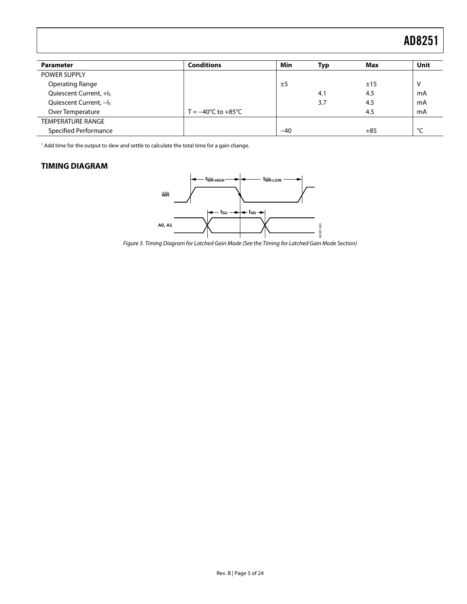<span id="page-4-2"></span><span id="page-4-0"></span>

| <b>Parameter</b>                   | <b>Conditions</b>                      | <b>Min</b> | Typ | Max   | Unit |
|------------------------------------|----------------------------------------|------------|-----|-------|------|
| <b>POWER SUPPLY</b>                |                                        |            |     |       |      |
| <b>Operating Range</b>             |                                        | ±5         |     | ±15   | v    |
| Quiescent Current, +I <sub>s</sub> |                                        |            | 4.1 | 4.5   | mA   |
| Quiescent Current, -Is             |                                        |            | 3.7 | 4.5   | mA   |
| Over Temperature                   | $T = -40^{\circ}$ C to $+85^{\circ}$ C |            |     | 4.5   | mA   |
| <b>TEMPERATURE RANGE</b>           |                                        |            |     |       |      |
| Specified Performance              |                                        | $-40$      |     | $+85$ | °C   |

1 Add time for the output to slew and settle to calculate the total time for a gain change.

#### <span id="page-4-1"></span>**TIMING DIAGRAM**



Figure 3. Timing Diagram for Latched Gain Mode (See the [Timing for Latched Gain Mode](#page-16-0) Section)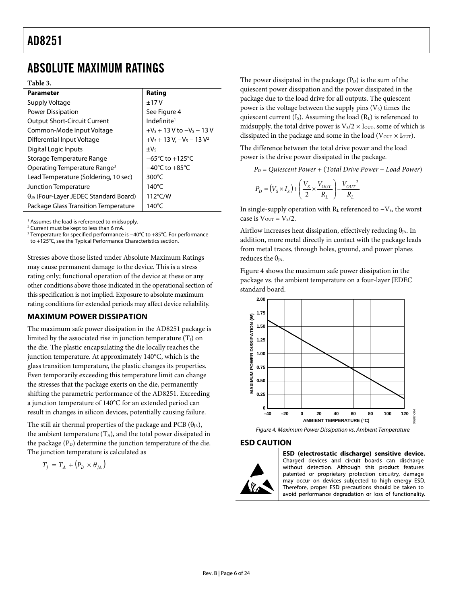### <span id="page-5-0"></span>ABSOLUTE MAXIMUM RATINGS

**Table 3.** 

| <b>Parameter</b>                                | Rating                              |
|-------------------------------------------------|-------------------------------------|
| Supply Voltage                                  | ±17V                                |
| Power Dissipation                               | See Figure 4                        |
| <b>Output Short-Circuit Current</b>             | Indefinite <sup>1</sup>             |
| Common-Mode Input Voltage                       | $+V_5 + 13V$ to $-V_5 - 13V$        |
| Differential Input Voltage                      | $+V_s + 13 V$ , $-V_s - 13 V^2$     |
| Digital Logic Inputs                            | $\pm V_5$                           |
| Storage Temperature Range                       | $-65^{\circ}$ C to $+125^{\circ}$ C |
| Operating Temperature Range <sup>3</sup>        | $-40^{\circ}$ C to $+85^{\circ}$ C  |
| Lead Temperature (Soldering, 10 sec)            | $300^{\circ}$ C                     |
| Junction Temperature                            | $140^{\circ}$ C                     |
| $\theta_{JA}$ (Four-Layer JEDEC Standard Board) | $112^{\circ}$ C/W                   |
| Package Glass Transition Temperature            | 140°C                               |

<sup>1</sup> Assumes the load is referenced to midsupply.

2 Current must be kept to less than 6 mA.

<sup>3</sup> Temperature for specified performance is –40°C to +85°C. For performance to +125°C, see the [Typical Performance Characteristics](#page-7-1) section.

Stresses above those listed under Absolute Maximum Ratings may cause permanent damage to the device. This is a stress rating only; functional operation of the device at these or any other conditions above those indicated in the operational section of this specification is not implied. Exposure to absolute maximum rating conditions for extended periods may affect device reliability.

#### **MAXIMUM POWER DISSIPATION**

The maximum safe power dissipation in the AD8251 package is limited by the associated rise in junction temperature  $(T<sub>I</sub>)$  on the die. The plastic encapsulating the die locally reaches the junction temperature. At approximately 140°C, which is the glass transition temperature, the plastic changes its properties. Even temporarily exceeding this temperature limit can change the stresses that the package exerts on the die, permanently shifting the parametric performance of the AD8251. Exceeding a junction temperature of 140°C for an extended period can result in changes in silicon devices, potentially causing failure.

<span id="page-5-1"></span>The still air thermal properties of the package and PCB  $(\theta_{JA})$ , the ambient temperature  $(T_A)$ , and the total power dissipated in the package  $(P_D)$  determine the junction temperature of the die. The junction temperature is calculated as

$$
T_{J} = T_{A} + (P_{D} \times \theta_{JA})
$$

The power dissipated in the package  $(P_D)$  is the sum of the quiescent power dissipation and the power dissipated in the package due to the load drive for all outputs. The quiescent power is the voltage between the supply pins  $(V<sub>s</sub>)$  times the quiescent current  $(I<sub>S</sub>)$ . Assuming the load  $(R<sub>L</sub>)$  is referenced to midsupply, the total drive power is  $V_s/2 \times I_{\text{OUT}}$ , some of which is dissipated in the package and some in the load ( $V_{\text{OUT}} \times I_{\text{OUT}}$ ).

The difference between the total drive power and the load power is the drive power dissipated in the package.

*PD* = *Quiescent Power* + (*Total Drive Power* − *Load Power*)

$$
P_D = (V_s \times I_s) + \left(\frac{V_s}{2} \times \frac{V_{OUT}}{R_L}\right) - \frac{V_{OUT}^2}{R_L}
$$

In single-supply operation with  $R<sub>L</sub>$  referenced to  $-V<sub>S</sub>$ , the worst case is  $V_{\text{OUT}} = V_s/2$ .

Airflow increases heat dissipation, effectively reducing  $\theta_{JA}$ . In addition, more metal directly in contact with the package leads from metal traces, through holes, ground, and power planes reduces the  $\theta_{IA}$ .

[Figure 4](#page-5-1) shows the maximum safe power dissipation in the package vs. the ambient temperature on a four-layer JEDEC standard board.



Figure 4. Maximum Power Dissipation vs. Ambient Temperature

#### **ESD CAUTION**



ESD (electrostatic discharge) sensitive device. Charged devices and circuit boards can discharge without detection. Although this product features patented or proprietary protection circuitry, damage may occur on devices subjected to high energy ESD. Therefore, proper ESD precautions should be taken to avoid performance degradation or loss of functionality.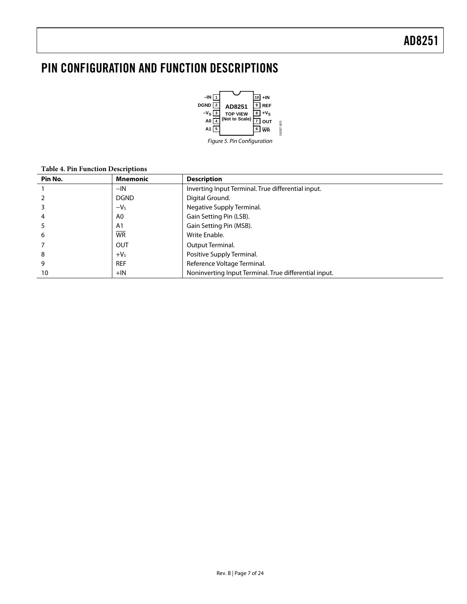### <span id="page-6-0"></span>PIN CONFIGURATION AND FUNCTION DESCRIPTIONS



#### **Table 4. Pin Function Descriptions**

| Pin No. | <b>Mnemonic</b> | <b>Description</b>                                    |  |  |
|---------|-----------------|-------------------------------------------------------|--|--|
|         | $-IN$           | Inverting Input Terminal. True differential input.    |  |  |
|         | <b>DGND</b>     | Digital Ground.                                       |  |  |
|         | $-Vs$           | Negative Supply Terminal.                             |  |  |
|         | A0              | Gain Setting Pin (LSB).                               |  |  |
|         | A <sub>1</sub>  | Gain Setting Pin (MSB).                               |  |  |
| 6       | <b>WR</b>       | Write Enable.                                         |  |  |
|         | <b>OUT</b>      | Output Terminal.                                      |  |  |
| 8       | $+VS$           | Positive Supply Terminal.                             |  |  |
| 9       | <b>REF</b>      | Reference Voltage Terminal.                           |  |  |
| 10      | $+IN$           | Noninverting Input Terminal. True differential input. |  |  |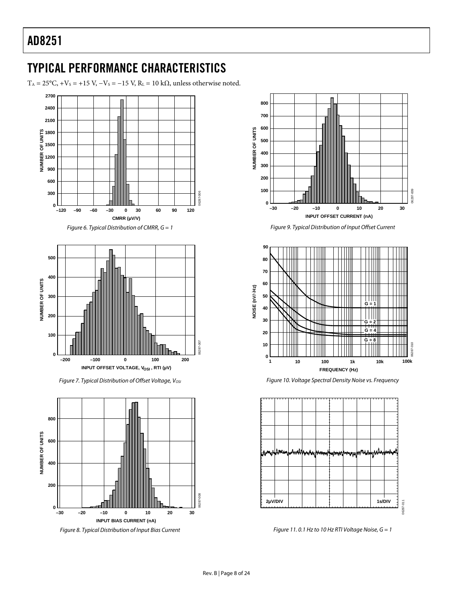### <span id="page-7-1"></span><span id="page-7-0"></span>TYPICAL PERFORMANCE CHARACTERISTICS

T<sub>A</sub> = 25°C, +V<sub>S</sub> = +15 V, -V<sub>S</sub> = -15 V, R<sub>L</sub> = 10 k $\Omega$ , unless otherwise noted.





Figure 8. Typical Distribution of Input Bias Current Figure 11. 0.1 Hz to 10 Hz RTI Voltage Noise, G = 1





Figure 7. Typical Distribution of Offset Voltage, V<sub>OSI</sub> Figure 10. Voltage Spectral Density Noise vs. Frequency

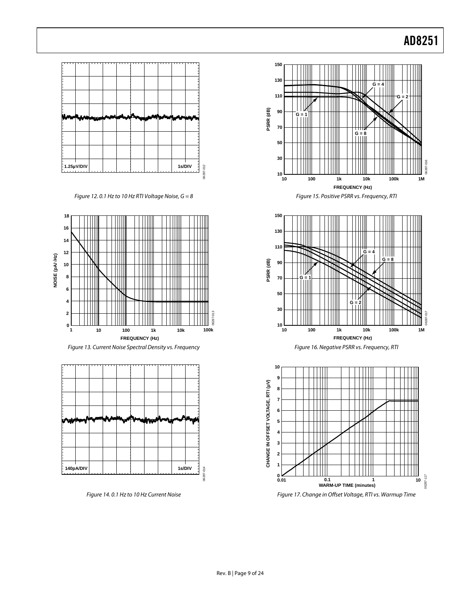

Figure 12. 0.1 Hz to 10 Hz RTI Voltage Noise,  $G = 8$ 







Figure 14. 0.1 Hz to 10 Hz Current Noise







Figure 17. Change in Offset Voltage, RTI vs. Warmup Time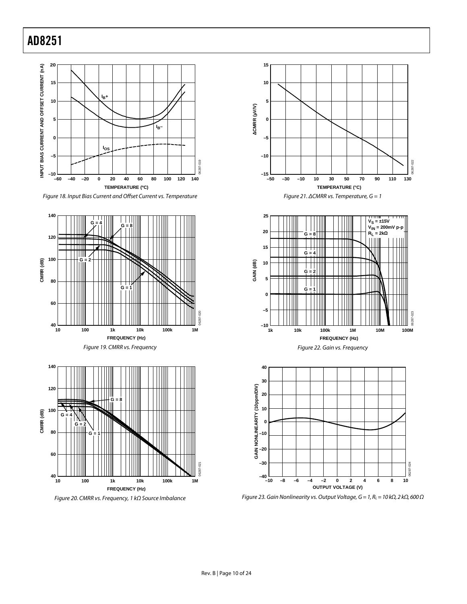

Figure 18. Input Bias Current and Offset Current vs. Temperature









Figure 23. Gain Nonlinearity vs. Output Voltage, G = 1, RL = 10 k $\Omega$ , 2 k $\Omega$ , 600  $\Omega$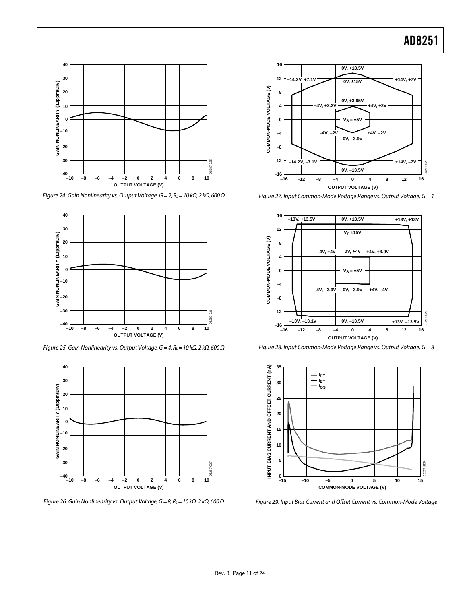

Figure 27. Input Common-Mode Voltage Range vs. Output Voltage, G = 1



Figure 28. Input Common-Mode Voltage Range vs. Output Voltage, G = 8



Figure 29. Input Bias Current and Offset Current vs. Common-Mode Voltage



<span id="page-10-0"></span>Figure 24. Gain Nonlinearity vs. Output Voltage,  $G = 2$ ,  $R<sub>L</sub> = 10$  kΩ, 2 kΩ, 600 Ω



<span id="page-10-1"></span>Figure 25. Gain Nonlinearity vs. Output Voltage,  $G = 4$ ,  $R_L = 10$  k $\Omega$ , 2 k $\Omega$ , 600  $\Omega$ 



Figure 26. Gain Nonlinearity vs. Output Voltage,  $G = 8$ ,  $R_L = 10$  k $\Omega$ , 2 k $\Omega$ , 600  $\Omega$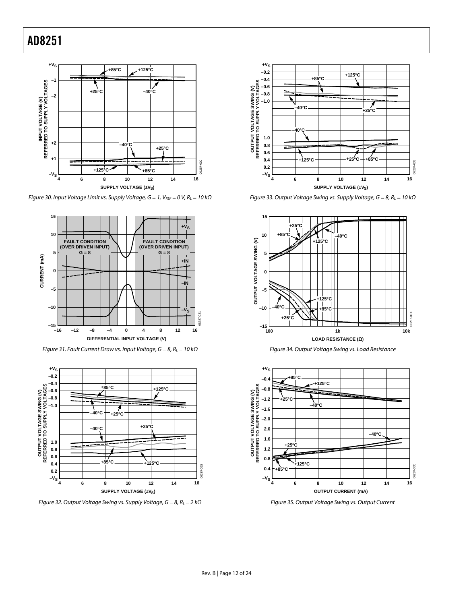

Figure 30. Input Voltage Limit vs. Supply Voltage,  $G = 1$ , VREF = 0 V, RL = 10 k $\Omega$ 



Figure 31. Fault Current Draw vs. Input Voltage,  $G = 8$ ,  $R_L = 10$  k $\Omega$ 



Figure 32. Output Voltage Swing vs. Supply Voltage,  $G = 8$ ,  $R_L = 2$  k $\Omega$ 



Figure 33. Output Voltage Swing vs. Supply Voltage,  $G = 8$ ,  $R_L = 10$  k $\Omega$ 







Figure 35. Output Voltage Swing vs. Output Current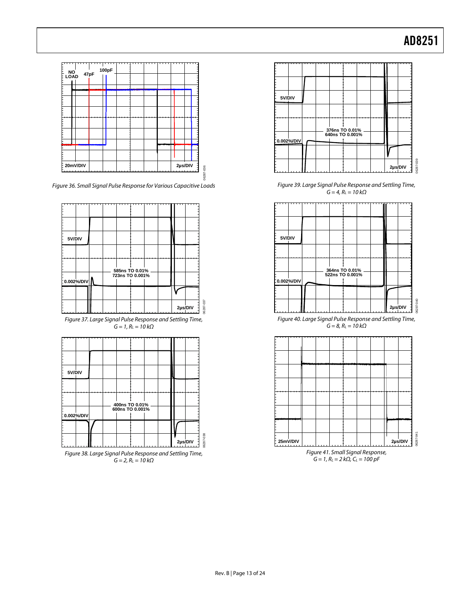

Figure 36. Small Signal Pulse Response for Various Capacitive Loads







Figure 39. Large Signal Pulse Response and Settling Time,  $G = 4$ ,  $R<sub>L</sub> = 10$  kΩ



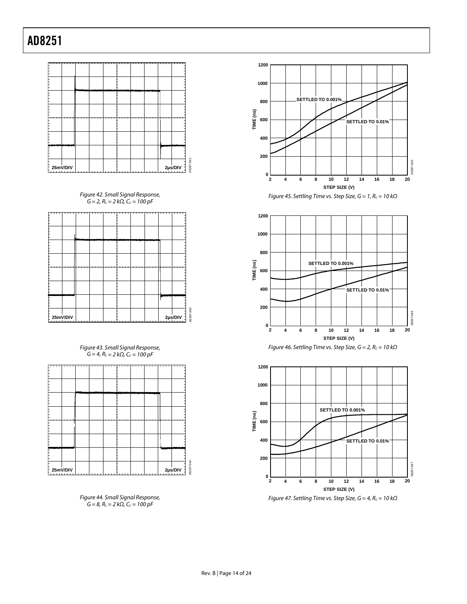

Figure 42. Small Signal Response,  $G = 2, R_L = 2 k\Omega, C_L = 100 pF$ 



Figure 43. Small Signal Response,  $G = 4$ ,  $R_L = 2 k\Omega$ ,  $C_L = 100 pF$ 













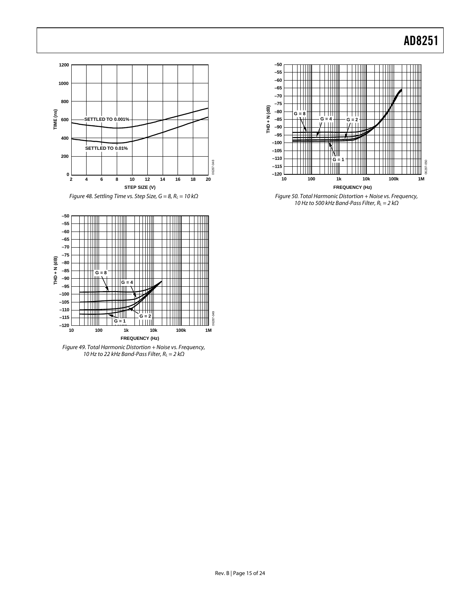



Figure 49. Total Harmonic Distortion + Noise vs. Frequency, 10 Hz to 22 kHz Band-Pass Filter,  $R_L = 2 k\Omega$ 



Figure 48. Settling Time vs. Step Size, G = 8, R<sub>L</sub> = 10 kΩ Figure 50. Total Harmonic Distortion + Noise vs. Frequency, 10 Hz to 500 kHz Band-Pass Filter,  $R_L = 2$  k $\Omega$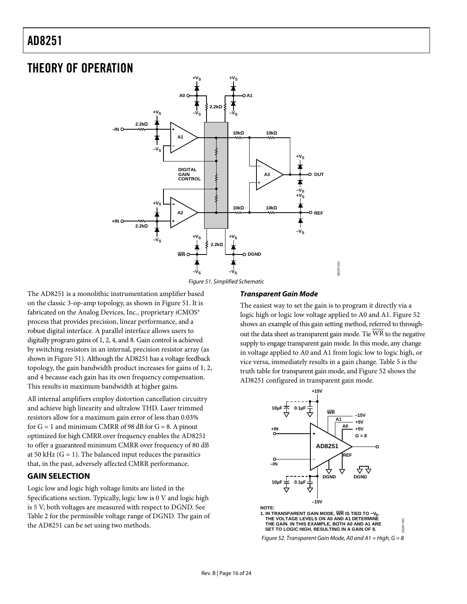### <span id="page-15-0"></span>THEORY OF OPERATION



<span id="page-15-1"></span>The AD8251 is a monolithic instrumentation amplifier based on the classic 3-op-amp topology, as shown in [Figure 51.](#page-15-1) It is fabricated on the Analog Devices, Inc., proprietary *i*CMOS® process that provides precision, linear performance, and a robust digital interface. A parallel interface allows users to digitally program gains of 1, 2, 4, and 8. Gain control is achieved by switching resistors in an internal, precision resistor array (as shown in [Figure 51\)](#page-15-1). Although the AD8251 has a voltage feedback topology, the gain bandwidth product increases for gains of 1, 2, and 4 because each gain has its own frequency compensation. This results in maximum bandwidth at higher gains.

All internal amplifiers employ distortion cancellation circuitry and achieve high linearity and ultralow THD. Laser trimmed resistors allow for a maximum gain error of less than 0.03% for  $G = 1$  and minimum CMRR of 98 dB for  $G = 8$ . A pinout optimized for high CMRR over frequency enables the AD8251 to offer a guaranteed minimum CMRR over frequency of 80 dB at 50 kHz  $(G = 1)$ . The balanced input reduces the parasitics that, in the past, adversely affected CMRR performance.

#### **GAIN SELECTION**

<span id="page-15-2"></span>Logic low and logic high voltage limits are listed in the [Specifications](#page-2-1) section. Typically, logic low is 0 V and logic high is 5 V; both voltages are measured with respect to DGND. See [Table 2](#page-2-2) for the permissible voltage range of DGND. The gain of the AD8251 can be set using two methods.

#### **Transparent Gain Mode**

The easiest way to set the gain is to program it directly via a logic high or logic low voltage applied to A0 and A1. [Figure 52](#page-15-2) shows an example of this gain setting method, referred to throughout the data sheet as transparent gain mode. Tie WR to the negative supply to engage transparent gain mode. In this mode, any change in voltage applied to A0 and A1 from logic low to logic high, or vice versa, immediately results in a gain change. Table 5 is the truth table for transparent gain mode, and Figure 52 shows the AD8251 configured in transparent gain mode.

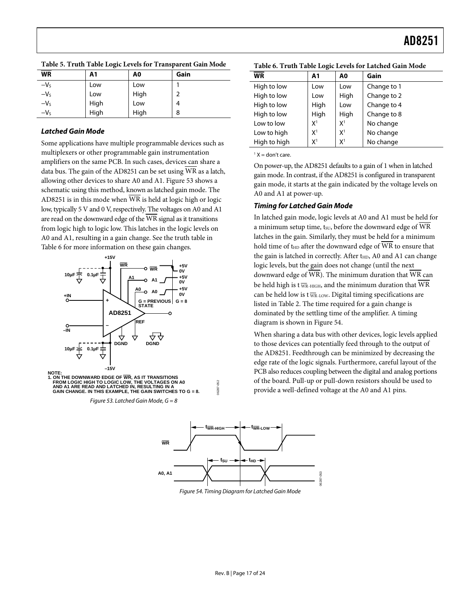<span id="page-16-3"></span><span id="page-16-1"></span>

|           | . .            |                |      |
|-----------|----------------|----------------|------|
| <b>WR</b> | A <sub>1</sub> | A <sub>0</sub> | Gain |
| $-VS$     | Low            | Low            |      |
| $-VS$     | Low            | High           | 2    |
| $-VS$     | High           | Low            | 4    |
| $-Vs$     | High           | High           | 8    |

**Table 5. Truth Table Logic Levels for Transparent Gain Mode** 

#### **Latched Gain Mode**

Some applications have multiple programmable devices such as multiplexers or other programmable gain instrumentation amplifiers on the same PCB. In such cases, devices can share a data bus. The gain of the AD8251 can be set using WR as a latch, allowing other devices to share A0 and A1. Figure 53 shows a schematic using this method, known as latched gain mode. The AD8251 is in this mode when WR is held at logic high or logic low, typically 5 V and 0 V, respectively. The voltages on A0 and A1 are read on the downward edge of the WR signal as it transitions from logic high to logic low. This latches in the logic levels on A0 and A1, resulting in a gain change. See the truth table in [Table 6](#page-16-3) for more information on these gain changes.

<span id="page-16-0"></span>

<span id="page-16-4"></span><span id="page-16-2"></span>Figure 53. Latched Gain Mode,  $G = 8$ 

| WR           | ັ<br>A1        | A0             | Gain        |
|--------------|----------------|----------------|-------------|
| High to low  | Low            | Low            | Change to 1 |
| High to low  | Low            | High           | Change to 2 |
| High to low  | High           | Low            | Change to 4 |
| High to low  | High           | High           | Change to 8 |
| Low to low   | X <sup>1</sup> | X <sup>1</sup> | No change   |
| Low to high  | X <sup>1</sup> | X <sup>1</sup> | No change   |
| High to high | X1             | X <sup>1</sup> | No change   |

**Table 6. Truth Table Logic Levels for Latched Gain Mode** 

 $<sup>1</sup> X = don't care.$ </sup>

On power-up, the AD8251 defaults to a gain of 1 when in latched gain mode. In contrast, if the AD8251 is configured in transparent gain mode, it starts at the gain indicated by the voltage levels on A0 and A1 at power-up.

#### **Timing for Latched Gain Mode**

In latched gain mode, logic levels at A0 and A1 must be held for a minimum setup time, tsu, before the downward edge of WR latches in the gain. Similarly, they must be held for a minimum hold time of t<sub>HD</sub> after the downward edge of WR to ensure that the gain is latched in correctly. After t<sub>HD</sub>, A0 and A1 can change logic levels, but the gain does not change (until the next downward edge of WR). The minimum duration that WR can be held high is t  $\overline{w_R}$ -HIGH, and the minimum duration that  $\overline{WR}$ can be held low is t  $\overline{w}$ R-LOW. Digital timing specifications are listedin Table 2. The time required for a gain change is dominated by the settling time of the amplifier. A timing diagram is shown in Figure 54.

When sharing a data bus with other devices, logic levels applied to those devices can potentially feed through to the output of the AD8251. Feedthrough can be minimized by decreasing the edge rate of the logic signals. Furthermore, careful layout of the PCB also reduces coupling between the digital and analog portions of the board. Pull-up or pull-down resistors should be used to provide a well-defined voltage at the A0 and A1 pins.



06287-052

6287

Figure 54. Timing Diagram for Latched Gain Mode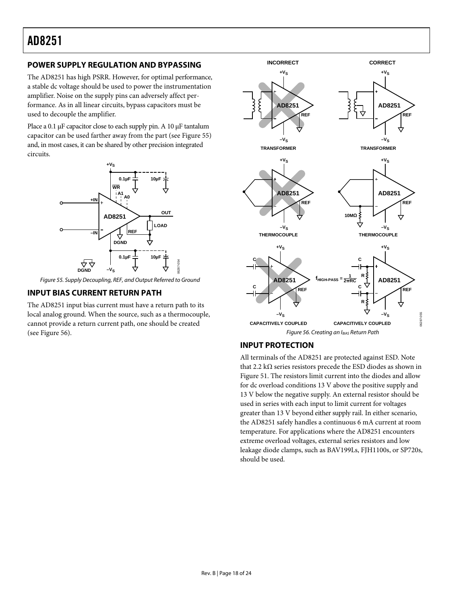### <span id="page-17-3"></span><span id="page-17-0"></span>**POWER SUPPLY REGULATION AND BYPASSING**

The AD8251 has high PSRR. However, for optimal performance, a stable dc voltage should be used to power the instrumentation amplifier. Noise on the supply pins can adversely affect performance. As in all linear circuits, bypass capacitors must be used to decouple the amplifier.

Place a 0.1 μF capacitor close to each supply pin. A 10 μF tantalum capacitor can be used farther away from the part (see [Figure 55](#page-17-1)) and, in most cases, it can be shared by other precision integrated circuits.



Figure 55. Supply Decoupling, REF, and Output Referred to Ground

#### <span id="page-17-1"></span>**INPUT BIAS CURRENT RETURN PATH**

<span id="page-17-2"></span>The AD8251 input bias current must have a return path to its local analog ground. When the source, such as a thermocouple, cannot provide a return current path, one should be created (see [Figure 56\)](#page-17-2).



### **INPUT PROTECTION**

All terminals of the AD8251 are protected against ESD. Note that 2.2 kΩ series resistors precede the ESD diodes as shown in [Figure 51](#page-15-1). The resistors limit current into the diodes and allow for dc overload conditions 13 V above the positive supply and 13 V below the negative supply. An external resistor should be used in series with each input to limit current for voltages greater than 13 V beyond either supply rail. In either scenario, the AD8251 safely handles a continuous 6 mA current at room temperature. For applications where the AD8251 encounters extreme overload voltages, external series resistors and low leakage diode clamps, such as BAV199Ls, FJH1100s, or SP720s, should be used.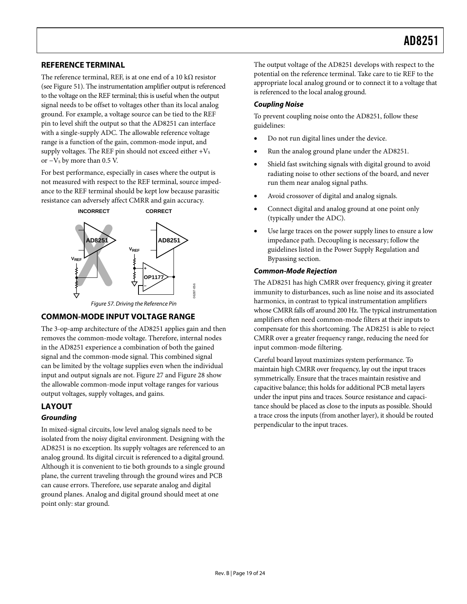#### <span id="page-18-0"></span>**REFERENCE TERMINAL**

The reference terminal, REF, is at one end of a 10 k $\Omega$  resistor (see [Figure 51\)](#page-15-1). The instrumentation amplifier output is referenced to the voltage on the REF terminal; this is useful when the output signal needs to be offset to voltages other than its local analog ground. For example, a voltage source can be tied to the REF pin to level shift the output so that the AD8251 can interface with a single-supply ADC. The allowable reference voltage range is a function of the gain, common-mode input, and supply voltages. The REF pin should not exceed either  $+V_s$ or  $-V$ s by more than 0.5 V.

For best performance, especially in cases where the output is not measured with respect to the REF terminal, source impedance to the REF terminal should be kept low because parasitic resistance can adversely affect CMRR and gain accuracy.



#### **COMMON-MODE INPUT VOLTAGE RANGE**

The 3-op-amp architecture of the AD8251 applies gain and then removes the common-mode voltage. Therefore, internal nodes in the AD8251 experience a combination of both the gained signal and the common-mode signal. This combined signal can be limited by the voltage supplies even when the individual input and output signals are not. [Figure 27](#page-10-0) and [Figure 28](#page-10-1) show the allowable common-mode input voltage ranges for various output voltages, supply voltages, and gains.

### **LAYOUT**

#### **Grounding**

In mixed-signal circuits, low level analog signals need to be isolated from the noisy digital environment. Designing with the AD8251 is no exception. Its supply voltages are referenced to an analog ground. Its digital circuit is referenced to a digital ground. Although it is convenient to tie both grounds to a single ground plane, the current traveling through the ground wires and PCB can cause errors. Therefore, use separate analog and digital ground planes. Analog and digital ground should meet at one point only: star ground.

The output voltage of the AD8251 develops with respect to the potential on the reference terminal. Take care to tie REF to the appropriate local analog ground or to connect it to a voltage that is referenced to the local analog ground.

#### **Coupling Noise**

To prevent coupling noise onto the AD8251, follow these guidelines:

- Do not run digital lines under the device.
- Run the analog ground plane under the AD8251.
- Shield fast switching signals with digital ground to avoid radiating noise to other sections of the board, and never run them near analog signal paths.
- Avoid crossover of digital and analog signals.
- Connect digital and analog ground at one point only (typically under the ADC).
- Use large traces on the power supply lines to ensure a low impedance path. Decoupling is necessary; follow the guidelines listed in the [Power Supply Regulation and](#page-17-3)  [Bypassing](#page-17-3) section.

#### **Common-Mode Rejection**

The AD8251 has high CMRR over frequency, giving it greater immunity to disturbances, such as line noise and its associated harmonics, in contrast to typical instrumentation amplifiers whose CMRR falls off around 200 Hz. The typical instrumentation amplifiers often need common-mode filters at their inputs to compensate for this shortcoming. The AD8251 is able to reject CMRR over a greater frequency range, reducing the need for input common-mode filtering.

Careful board layout maximizes system performance. To maintain high CMRR over frequency, lay out the input traces symmetrically. Ensure that the traces maintain resistive and capacitive balance; this holds for additional PCB metal layers under the input pins and traces. Source resistance and capacitance should be placed as close to the inputs as possible. Should a trace cross the inputs (from another layer), it should be routed perpendicular to the input traces.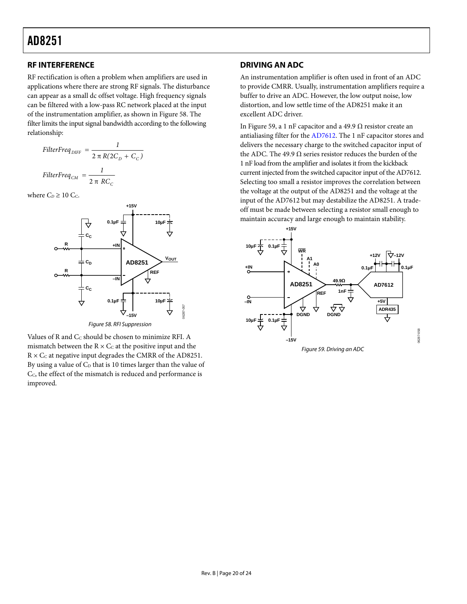#### <span id="page-19-0"></span>**RF INTERFERENCE DRIVING AN ADC**

RF rectification is often a problem when amplifiers are used in applications where there are strong RF signals. The disturbance can appear as a small dc offset voltage. High frequency signals can be filtered with a low-pass RC network placed at the input of the instrumentation amplifier, as shown in [Figure 58](#page-19-1). The filter limits the input signal bandwidth according to the following relationship:

$$
FilterFreq_{DIFF} = \frac{1}{2 \pi R (2C_D + C_C)}
$$

$$
FilterFreq_{CM} = \frac{1}{2 \pi RC_C}
$$

where  $C_D \geq 10$  C<sub>c</sub>.



<span id="page-19-1"></span>Values of R and  $C_C$  should be chosen to minimize RFI. A

<span id="page-19-2"></span>mismatch between the  $R \times C_C$  at the positive input and the  $R \times C_C$  at negative input degrades the CMRR of the AD8251. By using a value of  $C_D$  that is 10 times larger than the value of C C, the effect of the mismatch is reduced and performance is improved.

An instrumentation amplifier is often used in front of an ADC to provide CMRR. Usually, instrumentation amplifiers require a buffer to drive an ADC. However, the low output noise, low distortion, and low settle time of the AD8251 make it an excellent ADC driver.

In [Figure 59](#page-19-2), a 1 nF capacitor and a 49.9  $\Omega$  resistor create an antialiasing filter for the [AD7612](http://www.analog.com/ad7612). The 1 nF capacitor stores and delivers the necessary charge to the switched capacitor input of the ADC. The 49.9 Ω series resistor reduces the burden of the 1 nF load from the amplifier and isolates it from the kickback current injected from the switched capacitor input of the [AD7612](http://www.analog.com/ad7612). Selecting too small a resistor improves the correlation between the voltage at the output of the AD8251 and the voltage at the input of the [AD7612](http://www.analog.com/ad7612) but may destabilize the AD8251. A tradeoff must be made between selecting a resistor small enough to maintain accuracy and large enough to maintain stability.

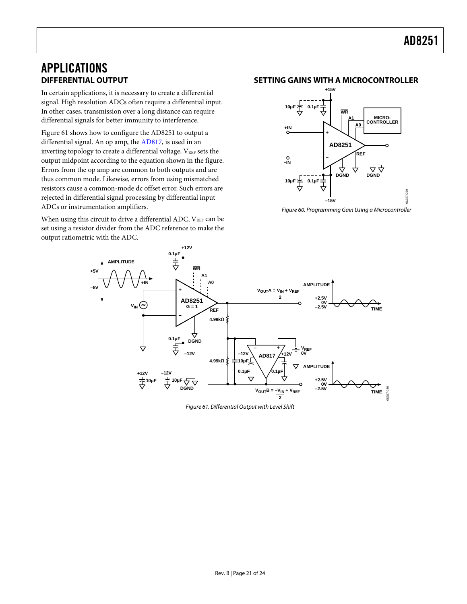### <span id="page-20-0"></span>APPLICATIONS **DIFFERENTIAL OUTPUT**

In certain applications, it is necessary to create a differential signal. High resolution ADCs often require a differential input. In other cases, transmission over a long distance can require differential signals for better immunity to interference.

[Figure 61](#page-20-1) shows how to configure the AD8251 to output a differential signal. An op amp, the [AD817](http://www.analog.com/ad817), is used in an inverting topology to create a differential voltage. VREF sets the output midpoint according to the equation shown in the figure. Errors from the op amp are common to both outputs and are thus common mode. Likewise, errors from using mismatched resistors cause a common-mode dc offset error. Such errors are rejected in differential signal processing by differential input ADCs or instrumentation amplifiers.

When using this circuit to drive a differential ADC,  $V_{REF}$  can be set using a resistor divider from the ADC reference to make the output ratiometric with the ADC.

#### **SETTING GAINS WITH A MICROCONTROLLER**



Figure 60. Programming Gain Using a Microcontroller

<span id="page-20-1"></span>

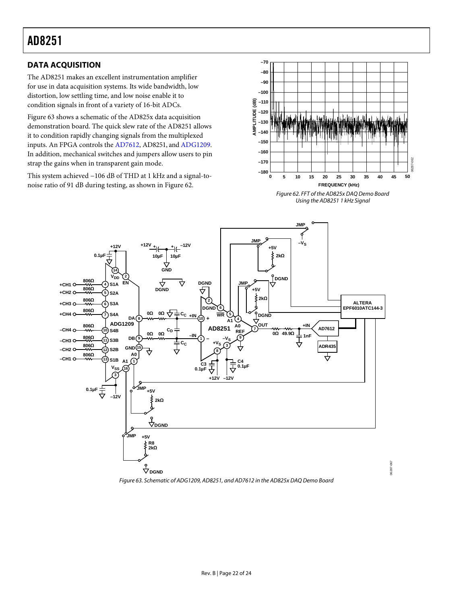### <span id="page-21-0"></span>**DATA ACQUISITION**

The AD8251 makes an excellent instrumentation amplifier for use in data acquisition systems. Its wide bandwidth, low distortion, low settling time, and low noise enable it to condition signals in front of a variety of 16-bit ADCs.

[Figure 63](#page-21-1) shows a schematic of the AD825x data acquisition demonstration board. The quick slew rate of the AD8251 allows it to condition rapidly changing signals from the multiplexed inputs. An FPGA controls the [AD7612,](http://www.analog.com/ad7612) AD8251, and [ADG1209.](http://www.analog.com/adg1209) In addition, mechanical switches and jumpers allow users to pin strap the gains when in transparent gain mode.

<span id="page-21-2"></span>This system achieved −106 dB of THD at 1 kHz and a signal-tonoise ratio of 91 dB during testing, as shown in [Figure 62.](#page-21-2)



Figure 62. FFT of the AD825x DAQ Demo Board Using the AD8251 1 kHz Signal

06287-067

06287-067



<span id="page-21-1"></span>Figure 63. Schematic of [ADG1209](http://www.analog.com/ADG1209), AD8251, and [AD7612](http://www.analog.com/AD7612) in the AD825x DAQ Demo Board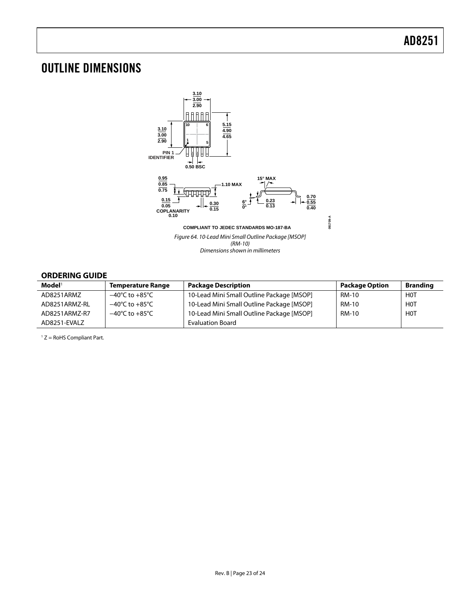### <span id="page-22-0"></span>OUTLINE DIMENSIONS



#### **ORDERING GUIDE**

| $\mathbf{Model}^1$ | <b>Temperature Range</b>           | <b>Package Description</b>                | <b>Package Option</b> | <b>Branding</b>  |
|--------------------|------------------------------------|-------------------------------------------|-----------------------|------------------|
| AD8251ARMZ         | $-40^{\circ}$ C to $+85^{\circ}$ C | 10-Lead Mini Small Outline Package [MSOP] | RM-10                 | <b>HOT</b>       |
| AD8251ARMZ-RL      | $-40^{\circ}$ C to $+85^{\circ}$ C | 10-Lead Mini Small Outline Package [MSOP] | <b>RM-10</b>          | H <sub>0</sub> T |
| AD8251ARMZ-R7      | $-40^{\circ}$ C to $+85^{\circ}$ C | 10-Lead Mini Small Outline Package [MSOP] | <b>RM-10</b>          | <b>HOT</b>       |
| AD8251-EVALZ       |                                    | <b>Evaluation Board</b>                   |                       |                  |

 $1 Z =$  RoHS Compliant Part.